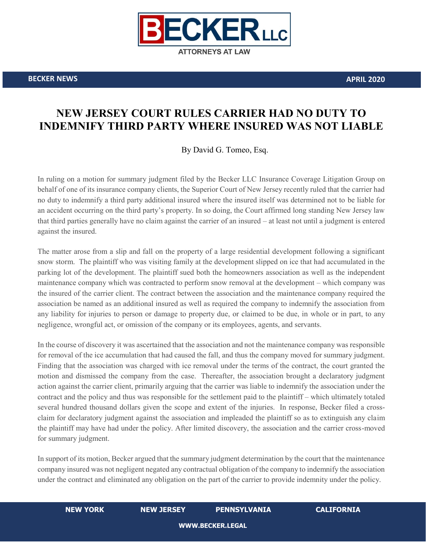

**BECKER NEWS APRIL 2020**

## **NEW JERSEY COURT RULES CARRIER HAD NO DUTY TO INDEMNIFY THIRD PARTY WHERE INSURED WAS NOT LIABLE**

By David G. Tomeo, Esq.

In ruling on a motion for summary judgment filed by the Becker LLC Insurance Coverage Litigation Group on behalf of one of its insurance company clients, the Superior Court of New Jersey recently ruled that the carrier had no duty to indemnify a third party additional insured where the insured itself was determined not to be liable for an accident occurring on the third party's property. In so doing, the Court affirmed long standing New Jersey law that third parties generally have no claim against the carrier of an insured – at least not until a judgment is entered against the insured.

The matter arose from a slip and fall on the property of a large residential development following a significant snow storm. The plaintiff who was visiting family at the development slipped on ice that had accumulated in the parking lot of the development. The plaintiff sued both the homeowners association as well as the independent maintenance company which was contracted to perform snow removal at the development – which company was the insured of the carrier client. The contract between the association and the maintenance company required the association be named as an additional insured as well as required the company to indemnify the association from any liability for injuries to person or damage to property due, or claimed to be due, in whole or in part, to any negligence, wrongful act, or omission of the company or its employees, agents, and servants.

In the course of discovery it was ascertained that the association and not the maintenance company was responsible for removal of the ice accumulation that had caused the fall, and thus the company moved for summary judgment. Finding that the association was charged with ice removal under the terms of the contract, the court granted the motion and dismissed the company from the case. Thereafter, the association brought a declaratory judgment action against the carrier client, primarily arguing that the carrier was liable to indemnify the association under the contract and the policy and thus was responsible for the settlement paid to the plaintiff – which ultimately totaled several hundred thousand dollars given the scope and extent of the injuries. In response, Becker filed a crossclaim for declaratory judgment against the association and impleaded the plaintiff so as to extinguish any claim the plaintiff may have had under the policy. After limited discovery, the association and the carrier cross-moved for summary judgment.

In support of its motion, Becker argued that the summary judgment determination by the court that the maintenance company insured was not negligent negated any contractual obligation of the company to indemnify the association under the contract and eliminated any obligation on the part of the carrier to provide indemnity under the policy.

## **NEW YORK NEW JERSEY PENNSYLVANIA CALIFORNIA**